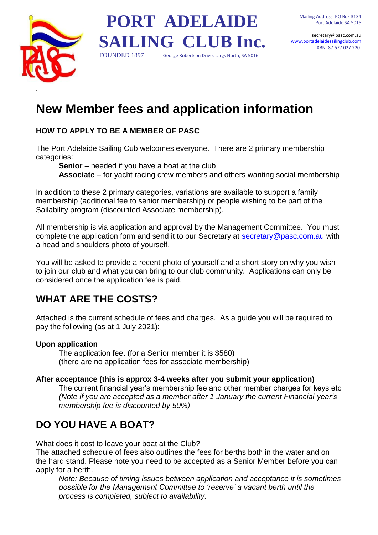secretary@pasc.com.au [www.portadelaidesailingclub.com](http://www.portadelaide.yachting.org.au/) ABN: 87 677 027 220



# **PORT ADELAIDE SAILING CLUB Inc.** FOUNDED 1897 George Robertson Drive, Largs North, SA 5016

# **New Member fees and application information**

#### **HOW TO APPLY TO BE A MEMBER OF PASC**

The Port Adelaide Sailing Cub welcomes everyone. There are 2 primary membership categories:

**Senior** – needed if you have a boat at the club

**Associate** – for yacht racing crew members and others wanting social membership

In addition to these 2 primary categories, variations are available to support a family membership (additional fee to senior membership) or people wishing to be part of the Sailability program (discounted Associate membership).

All membership is via application and approval by the Management Committee. You must complete the application form and send it to our Secretary at [secretary@pasc.com.au](mailto:secretary@pasc.com.au) with a head and shoulders photo of yourself.

You will be asked to provide a recent photo of yourself and a short story on why you wish to join our club and what you can bring to our club community. Applications can only be considered once the application fee is paid.

## **WHAT ARE THE COSTS?**

Attached is the current schedule of fees and charges. As a guide you will be required to pay the following (as at 1 July 2021):

#### **Upon application**

The application fee. (for a Senior member it is \$580) (there are no application fees for associate membership)

#### **After acceptance (this is approx 3-4 weeks after you submit your application)**

The current financial year's membership fee and other member charges for keys etc *(Note if you are accepted as a member after 1 January the current Financial year's membership fee is discounted by 50%)*

## **DO YOU HAVE A BOAT?**

What does it cost to leave your boat at the Club?

The attached schedule of fees also outlines the fees for berths both in the water and on the hard stand. Please note you need to be accepted as a Senior Member before you can apply for a berth.

*Note: Because of timing issues between application and acceptance it is sometimes possible for the Management Committee to 'reserve' a vacant berth until the process is completed, subject to availability.*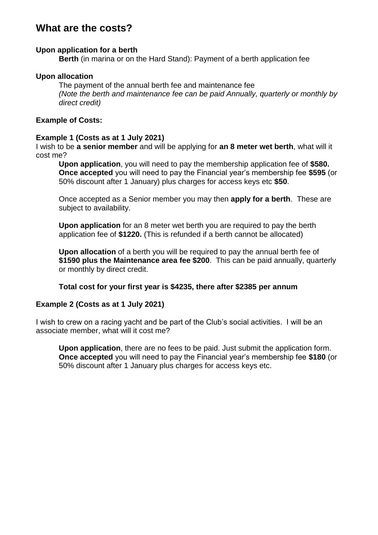### **What are the costs?**

#### **Upon application for a berth**

**Berth** (in marina or on the Hard Stand): Payment of a berth application fee

#### **Upon allocation**

The payment of the annual berth fee and maintenance fee *(Note the berth and maintenance fee can be paid Annually, quarterly or monthly by direct credit)*

#### **Example of Costs:**

#### **Example 1 (Costs as at 1 July 2021)**

I wish to be **a senior member** and will be applying for **an 8 meter wet berth**, what will it cost me?

**Upon application**, you will need to pay the membership application fee of **\$580. Once accepted** you will need to pay the Financial year's membership fee **\$595** (or 50% discount after 1 January) plus charges for access keys etc **\$50**.

Once accepted as a Senior member you may then **apply for a berth**. These are subject to availability.

**Upon application** for an 8 meter wet berth you are required to pay the berth application fee of **\$1220.** (This is refunded if a berth cannot be allocated)

**Upon allocation** of a berth you will be required to pay the annual berth fee of **\$1590 plus the Maintenance area fee \$200**. This can be paid annually, quarterly or monthly by direct credit.

#### **Total cost for your first year is \$4235, there after \$2385 per annum**

#### **Example 2 (Costs as at 1 July 2021)**

I wish to crew on a racing yacht and be part of the Club's social activities. I will be an associate member, what will it cost me?

**Upon application**, there are no fees to be paid. Just submit the application form. **Once accepted** you will need to pay the Financial year's membership fee **\$180** (or 50% discount after 1 January plus charges for access keys etc.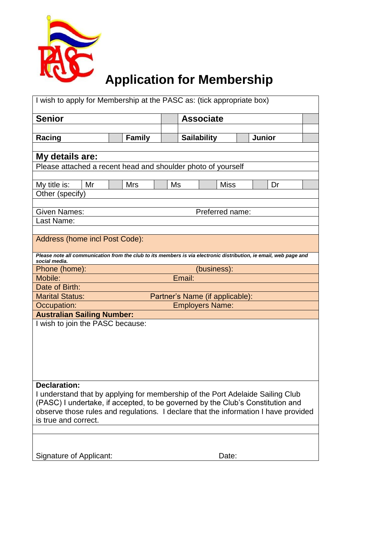

# **Application for Membership**

| I wish to apply for Membership at the PASC as: (tick appropriate box)                                                              |                                                           |                  |                                     |  |             |  |    |  |  |
|------------------------------------------------------------------------------------------------------------------------------------|-----------------------------------------------------------|------------------|-------------------------------------|--|-------------|--|----|--|--|
| <b>Senior</b>                                                                                                                      |                                                           | <b>Associate</b> |                                     |  |             |  |    |  |  |
|                                                                                                                                    |                                                           |                  |                                     |  |             |  |    |  |  |
| Racing                                                                                                                             | <b>Family</b>                                             |                  | <b>Junior</b><br><b>Sailability</b> |  |             |  |    |  |  |
|                                                                                                                                    |                                                           |                  |                                     |  |             |  |    |  |  |
| My details are:                                                                                                                    |                                                           |                  |                                     |  |             |  |    |  |  |
| Please attached a recent head and shoulder photo of yourself                                                                       |                                                           |                  |                                     |  |             |  |    |  |  |
| My title is:<br>Mr                                                                                                                 | <b>Mrs</b>                                                | Ms               |                                     |  | <b>Miss</b> |  | Dr |  |  |
| Other (specify)                                                                                                                    |                                                           |                  |                                     |  |             |  |    |  |  |
|                                                                                                                                    |                                                           |                  |                                     |  |             |  |    |  |  |
| <b>Given Names:</b><br>Preferred name:                                                                                             |                                                           |                  |                                     |  |             |  |    |  |  |
| Last Name:                                                                                                                         |                                                           |                  |                                     |  |             |  |    |  |  |
|                                                                                                                                    |                                                           |                  |                                     |  |             |  |    |  |  |
| Address (home incl Post Code):                                                                                                     |                                                           |                  |                                     |  |             |  |    |  |  |
| Please note all communication from the club to its members is via electronic distribution, ie email, web page and<br>social media. |                                                           |                  |                                     |  |             |  |    |  |  |
| Phone (home):                                                                                                                      | (business):                                               |                  |                                     |  |             |  |    |  |  |
| Mobile:                                                                                                                            | Email:                                                    |                  |                                     |  |             |  |    |  |  |
| Date of Birth:                                                                                                                     |                                                           |                  |                                     |  |             |  |    |  |  |
|                                                                                                                                    | <b>Marital Status:</b><br>Partner's Name (if applicable): |                  |                                     |  |             |  |    |  |  |
| Occupation:                                                                                                                        | <b>Employers Name:</b>                                    |                  |                                     |  |             |  |    |  |  |
| <b>Australian Sailing Number:</b>                                                                                                  |                                                           |                  |                                     |  |             |  |    |  |  |
| I wish to join the PASC because:                                                                                                   |                                                           |                  |                                     |  |             |  |    |  |  |
|                                                                                                                                    |                                                           |                  |                                     |  |             |  |    |  |  |
|                                                                                                                                    |                                                           |                  |                                     |  |             |  |    |  |  |
|                                                                                                                                    |                                                           |                  |                                     |  |             |  |    |  |  |
|                                                                                                                                    |                                                           |                  |                                     |  |             |  |    |  |  |
| <b>Declaration:</b>                                                                                                                |                                                           |                  |                                     |  |             |  |    |  |  |
| I understand that by applying for membership of the Port Adelaide Sailing Club                                                     |                                                           |                  |                                     |  |             |  |    |  |  |
| (PASC) I undertake, if accepted, to be governed by the Club's Constitution and                                                     |                                                           |                  |                                     |  |             |  |    |  |  |
| observe those rules and regulations. I declare that the information I have provided                                                |                                                           |                  |                                     |  |             |  |    |  |  |
| is true and correct.                                                                                                               |                                                           |                  |                                     |  |             |  |    |  |  |
|                                                                                                                                    |                                                           |                  |                                     |  |             |  |    |  |  |
|                                                                                                                                    |                                                           |                  |                                     |  |             |  |    |  |  |
| Signature of Applicant:                                                                                                            |                                                           |                  |                                     |  | Date:       |  |    |  |  |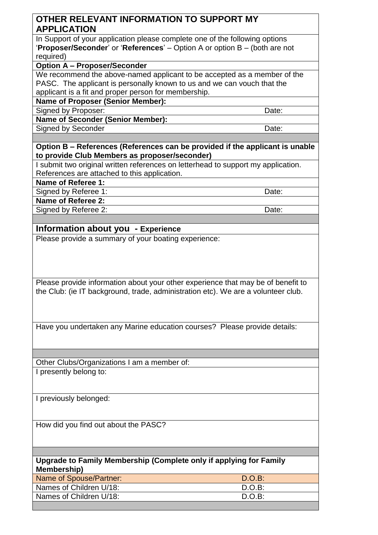#### **OTHER RELEVANT INFORMATION TO SUPPORT MY APPLICATION**

In Support of your application please complete one of the following options '**Proposer/Seconder**' or '**References**' – Option A or option B – (both are not required)

**Option A – Proposer/Seconder** 

We recommend the above-named applicant to be accepted as a member of the PASC. The applicant is personally known to us and we can vouch that the applicant is a fit and proper person for membership.

**Name of Proposer (Senior Member):** 

Signed by Proposer: Date: Date:

**Name of Seconder (Senior Member):** 

Signed by Seconder **Date:** Date:

**Option B – References (References can be provided if the applicant is unable to provide Club Members as proposer/seconder)** 

I submit two original written references on letterhead to support my application. References are attached to this application.

**Name of Referee 1:** 

Signed by Referee 1: Date:

**Name of Referee 2:** 

Signed by Referee 2: Date: Date: Date:

#### **Information about you - Experience**

Please provide a summary of your boating experience:

Please provide information about your other experience that may be of benefit to the Club: (ie IT background, trade, administration etc). We are a volunteer club.

Have you undertaken any Marine education courses? Please provide details:

Other Clubs/Organizations I am a member of: I presently belong to:

I previously belonged:

How did you find out about the PASC?

**Upgrade to Family Membership (Complete only if applying for Family Membership)** 

| Name of Spouse/Partner: | $D.O.B$ : |
|-------------------------|-----------|
| Names of Children U/18: | D.O.B:    |
| Names of Children U/18: | $D.O.B$ : |
|                         |           |